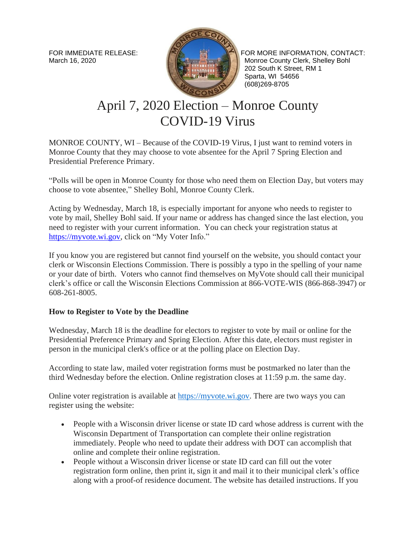

FOR IMMEDIATE RELEASE: FOR MORE INFORMATION, CONTACT: March 16, 2020 **Monroe County Clerk, Shelley Bohl** Monroe County Clerk, Shelley Bohl 202 South K Street, RM 1 Sparta, WI 54656 (608)269-8705

## April 7, 2020 Election – Monroe County COVID-19 Virus

MONROE COUNTY, WI – Because of the COVID-19 Virus, I just want to remind voters in Monroe County that they may choose to vote absentee for the April 7 Spring Election and Presidential Preference Primary.

"Polls will be open in Monroe County for those who need them on Election Day, but voters may choose to vote absentee," Shelley Bohl, Monroe County Clerk.

Acting by Wednesday, March 18, is especially important for anyone who needs to register to vote by mail, Shelley Bohl said. If your name or address has changed since the last election, you need to register with your current information. You can check your registration status at [https://myvote.wi.gov,](https://myvote.wi.gov/) click on "My Voter Info."

If you know you are registered but cannot find yourself on the website, you should contact your clerk or Wisconsin Elections Commission. There is possibly a typo in the spelling of your name or your date of birth. Voters who cannot find themselves on MyVote should call their municipal clerk's office or call the Wisconsin Elections Commission at 866-VOTE-WIS (866-868-3947) or 608-261-8005.

## **How to Register to Vote by the Deadline**

Wednesday, March 18 is the deadline for electors to register to vote by mail or online for the Presidential Preference Primary and Spring Election. After this date, electors must register in person in the municipal clerk's office or at the polling place on Election Day.

According to state law, mailed voter registration forms must be postmarked no later than the third Wednesday before the election. Online registration closes at 11:59 p.m. the same day.

Online voter registration is available at [https://myvote.wi.gov.](https://myvote.wi.gov/) There are two ways you can register using the website:

- People with a Wisconsin driver license or state ID card whose address is current with the Wisconsin Department of Transportation can complete their online registration immediately. People who need to update their address with DOT can accomplish that online and complete their online registration.
- People without a Wisconsin driver license or state ID card can fill out the voter registration form online, then print it, sign it and mail it to their municipal clerk's office along with a proof-of residence document. The website has detailed instructions. If you